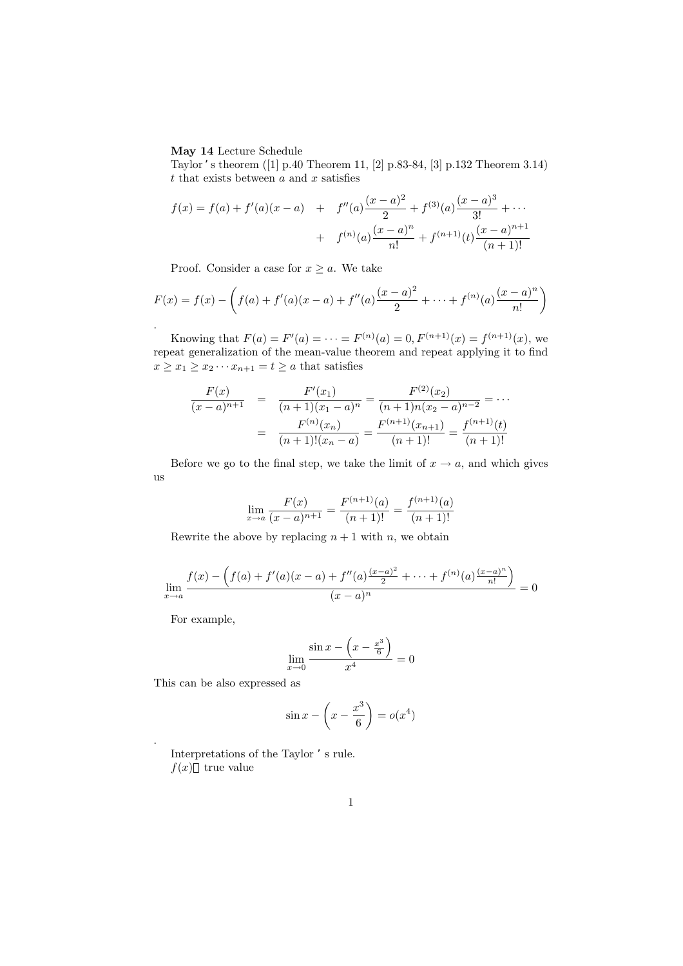## **May 14** Lecture Schedule

Taylor 's theorem ([1] p.40 Theorem 11, [2] p.83-84, [3] p.132 Theorem 3.14) *t* that exists between *a* and *x* satisfies

$$
f(x) = f(a) + f'(a)(x - a) + f''(a)\frac{(x - a)^2}{2} + f^{(3)}(a)\frac{(x - a)^3}{3!} + \cdots
$$

$$
+ f^{(n)}(a)\frac{(x - a)^n}{n!} + f^{(n+1)}(t)\frac{(x - a)^{n+1}}{(n+1)!}
$$

Proof. Consider a case for  $x \geq a$ . We take

$$
F(x) = f(x) - \left(f(a) + f'(a)(x - a) + f''(a)\frac{(x - a)^2}{2} + \dots + f^{(n)}(a)\frac{(x - a)^n}{n!}\right).
$$

Knowing that  $F(a) = F'(a) = \cdots = F^{(n)}(a) = 0, F^{(n+1)}(x) = f^{(n+1)}(x)$ , we repeat generalization of the mean-value theorem and repeat applying it to find  $x \geq x_1 \geq x_2 \cdots x_{n+1} = t \geq a$  that satisfies

$$
\frac{F(x)}{(x-a)^{n+1}} = \frac{F'(x_1)}{(n+1)(x_1-a)^n} = \frac{F^{(2)}(x_2)}{(n+1)n(x_2-a)^{n-2}} = \cdots
$$

$$
= \frac{F^{(n)}(x_n)}{(n+1)!(x_n-a)} = \frac{F^{(n+1)}(x_{n+1})}{(n+1)!} = \frac{f^{(n+1)}(t)}{(n+1)!}
$$

Before we go to the final step, we take the limit of  $x \to a$ , and which gives us

$$
\lim_{x \to a} \frac{F(x)}{(x-a)^{n+1}} = \frac{F^{(n+1)}(a)}{(n+1)!} = \frac{f^{(n+1)}(a)}{(n+1)!}
$$

Rewrite the above by replacing  $n + 1$  with *n*, we obtain

$$
\lim_{x \to a} \frac{f(x) - \left(f(a) + f'(a)(x - a) + f''(a)\frac{(x - a)^2}{2} + \dots + f^{(n)}(a)\frac{(x - a)^n}{n!}\right)}{(x - a)^n} = 0
$$

For example,

.

$$
\lim_{x \to 0} \frac{\sin x - \left(x - \frac{x^3}{6}\right)}{x^4} = 0
$$

This can be also expressed as

$$
\sin x - \left(x - \frac{x^3}{6}\right) = o(x^4)
$$

Interpretations of the Taylor 's rule.  $f(x)$  true value